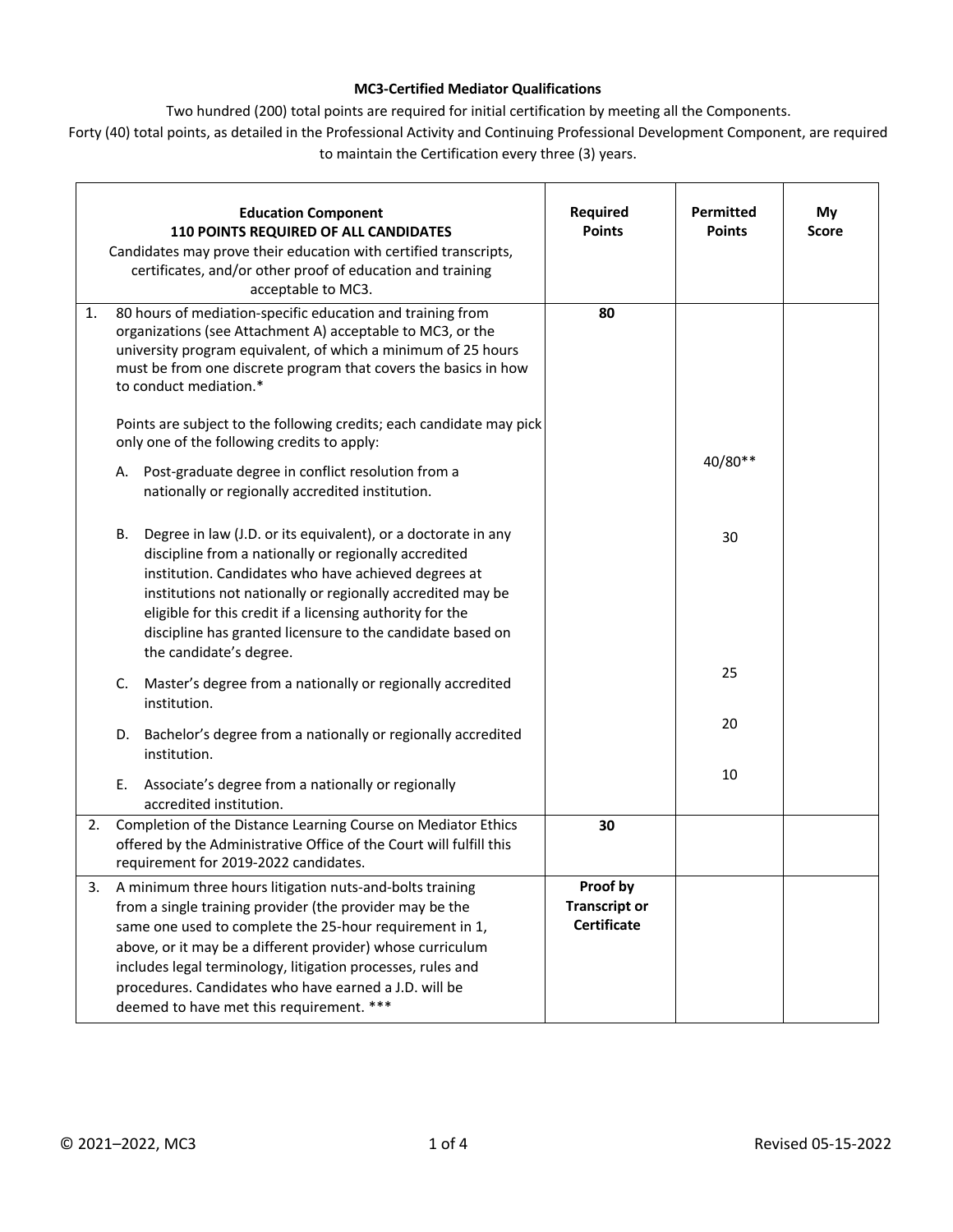## **MC3-Certified Mediator Qualifications**

Two hundred (200) total points are required for initial certification by meeting all the Components.

Forty (40) total points, as detailed in the Professional Activity and Continuing Professional Development Component, are required to maintain the Certification every three (3) years.

|    | <b>Education Component</b><br>110 POINTS REQUIRED OF ALL CANDIDATES<br>Candidates may prove their education with certified transcripts,<br>certificates, and/or other proof of education and training<br>acceptable to MC3.                                                                                                                                                                                       | Required<br><b>Points</b>                              | <b>Permitted</b><br><b>Points</b> | My<br><b>Score</b> |
|----|-------------------------------------------------------------------------------------------------------------------------------------------------------------------------------------------------------------------------------------------------------------------------------------------------------------------------------------------------------------------------------------------------------------------|--------------------------------------------------------|-----------------------------------|--------------------|
| 1. | 80 hours of mediation-specific education and training from<br>organizations (see Attachment A) acceptable to MC3, or the<br>university program equivalent, of which a minimum of 25 hours<br>must be from one discrete program that covers the basics in how<br>to conduct mediation.*                                                                                                                            | 80                                                     |                                   |                    |
|    | Points are subject to the following credits; each candidate may pick<br>only one of the following credits to apply:                                                                                                                                                                                                                                                                                               |                                                        |                                   |                    |
|    | Post-graduate degree in conflict resolution from a<br>А.<br>nationally or regionally accredited institution.                                                                                                                                                                                                                                                                                                      |                                                        | 40/80**                           |                    |
|    | Degree in law (J.D. or its equivalent), or a doctorate in any<br>В.<br>discipline from a nationally or regionally accredited<br>institution. Candidates who have achieved degrees at<br>institutions not nationally or regionally accredited may be<br>eligible for this credit if a licensing authority for the<br>discipline has granted licensure to the candidate based on<br>the candidate's degree.         |                                                        | 30                                |                    |
|    | Master's degree from a nationally or regionally accredited<br>C.<br>institution.                                                                                                                                                                                                                                                                                                                                  |                                                        | 25                                |                    |
|    | Bachelor's degree from a nationally or regionally accredited<br>D.<br>institution.                                                                                                                                                                                                                                                                                                                                |                                                        | 20                                |                    |
|    | Ε.<br>Associate's degree from a nationally or regionally<br>accredited institution.                                                                                                                                                                                                                                                                                                                               |                                                        | 10                                |                    |
| 2. | Completion of the Distance Learning Course on Mediator Ethics<br>offered by the Administrative Office of the Court will fulfill this<br>requirement for 2019-2022 candidates.                                                                                                                                                                                                                                     | 30                                                     |                                   |                    |
| 3. | A minimum three hours litigation nuts-and-bolts training<br>from a single training provider (the provider may be the<br>same one used to complete the 25-hour requirement in 1,<br>above, or it may be a different provider) whose curriculum<br>includes legal terminology, litigation processes, rules and<br>procedures. Candidates who have earned a J.D. will be<br>deemed to have met this requirement. *** | Proof by<br><b>Transcript or</b><br><b>Certificate</b> |                                   |                    |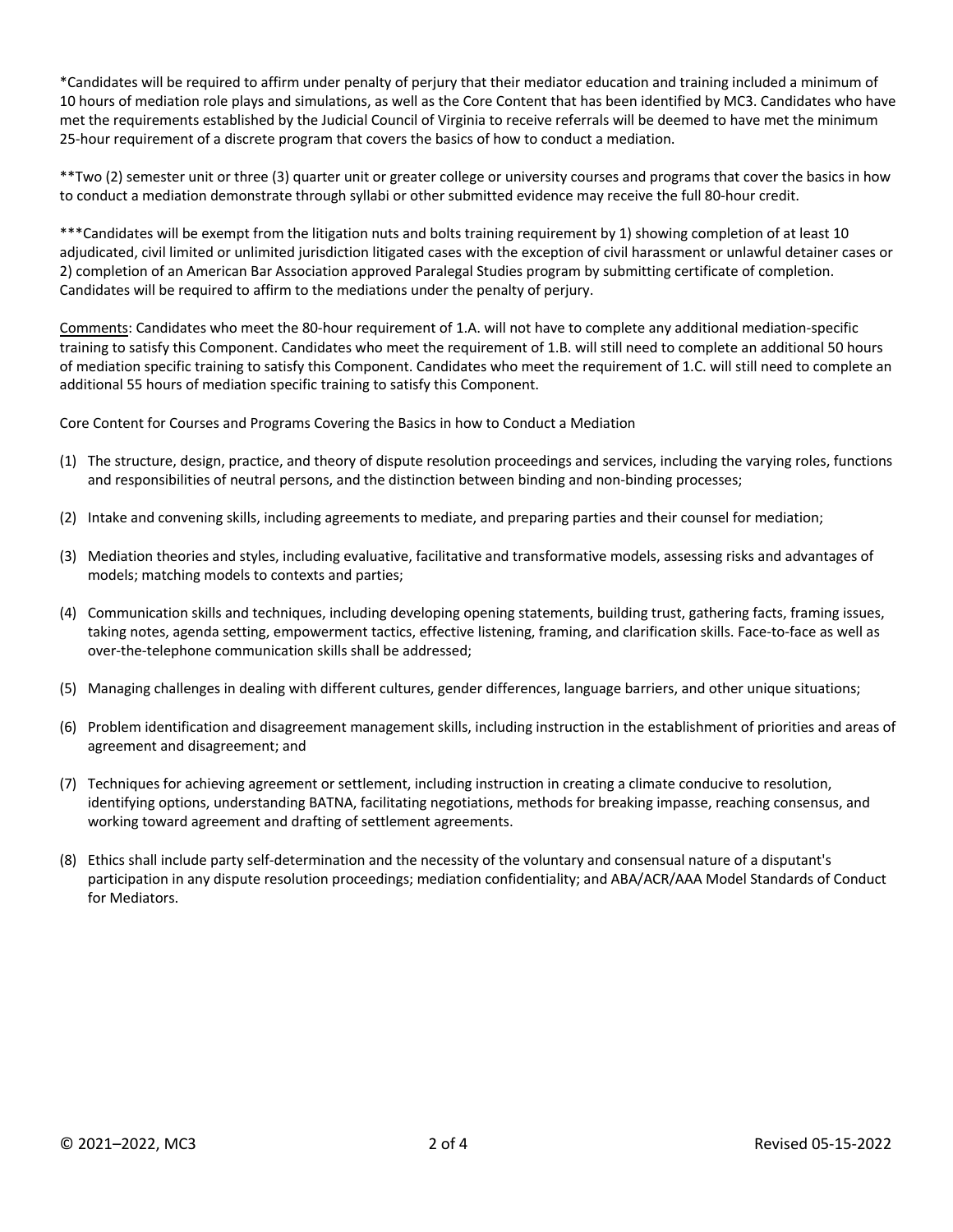\*Candidates will be required to affirm under penalty of perjury that their mediator education and training included a minimum of 10 hours of mediation role plays and simulations, as well as the Core Content that has been identified by MC3. Candidates who have met the requirements established by the Judicial Council of Virginia to receive referrals will be deemed to have met the minimum 25-hour requirement of a discrete program that covers the basics of how to conduct a mediation.

\*\*Two (2) semester unit or three (3) quarter unit or greater college or university courses and programs that cover the basics in how to conduct a mediation demonstrate through syllabi or other submitted evidence may receive the full 80-hour credit.

\*\*\*Candidates will be exempt from the litigation nuts and bolts training requirement by 1) showing completion of at least 10 adjudicated, civil limited or unlimited jurisdiction litigated cases with the exception of civil harassment or unlawful detainer cases or 2) completion of an American Bar Association approved Paralegal Studies program by submitting certificate of completion. Candidates will be required to affirm to the mediations under the penalty of perjury.

Comments: Candidates who meet the 80-hour requirement of 1.A. will not have to complete any additional mediation-specific training to satisfy this Component. Candidates who meet the requirement of 1.B. will still need to complete an additional 50 hours of mediation specific training to satisfy this Component. Candidates who meet the requirement of 1.C. will still need to complete an additional 55 hours of mediation specific training to satisfy this Component.

Core Content for Courses and Programs Covering the Basics in how to Conduct a Mediation

- (1) The structure, design, practice, and theory of dispute resolution proceedings and services, including the varying roles, functions and responsibilities of neutral persons, and the distinction between binding and non-binding processes;
- (2) Intake and convening skills, including agreements to mediate, and preparing parties and their counsel for mediation;
- (3) Mediation theories and styles, including evaluative, facilitative and transformative models, assessing risks and advantages of models; matching models to contexts and parties;
- (4) Communication skills and techniques, including developing opening statements, building trust, gathering facts, framing issues, taking notes, agenda setting, empowerment tactics, effective listening, framing, and clarification skills. Face-to-face as well as over-the-telephone communication skills shall be addressed;
- (5) Managing challenges in dealing with different cultures, gender differences, language barriers, and other unique situations;
- (6) Problem identification and disagreement management skills, including instruction in the establishment of priorities and areas of agreement and disagreement; and
- (7) Techniques for achieving agreement or settlement, including instruction in creating a climate conducive to resolution, identifying options, understanding BATNA, facilitating negotiations, methods for breaking impasse, reaching consensus, and working toward agreement and drafting of settlement agreements.
- (8) Ethics shall include party self-determination and the necessity of the voluntary and consensual nature of a disputant's participation in any dispute resolution proceedings; mediation confidentiality; and ABA/ACR/AAA Model Standards of Conduct for Mediators.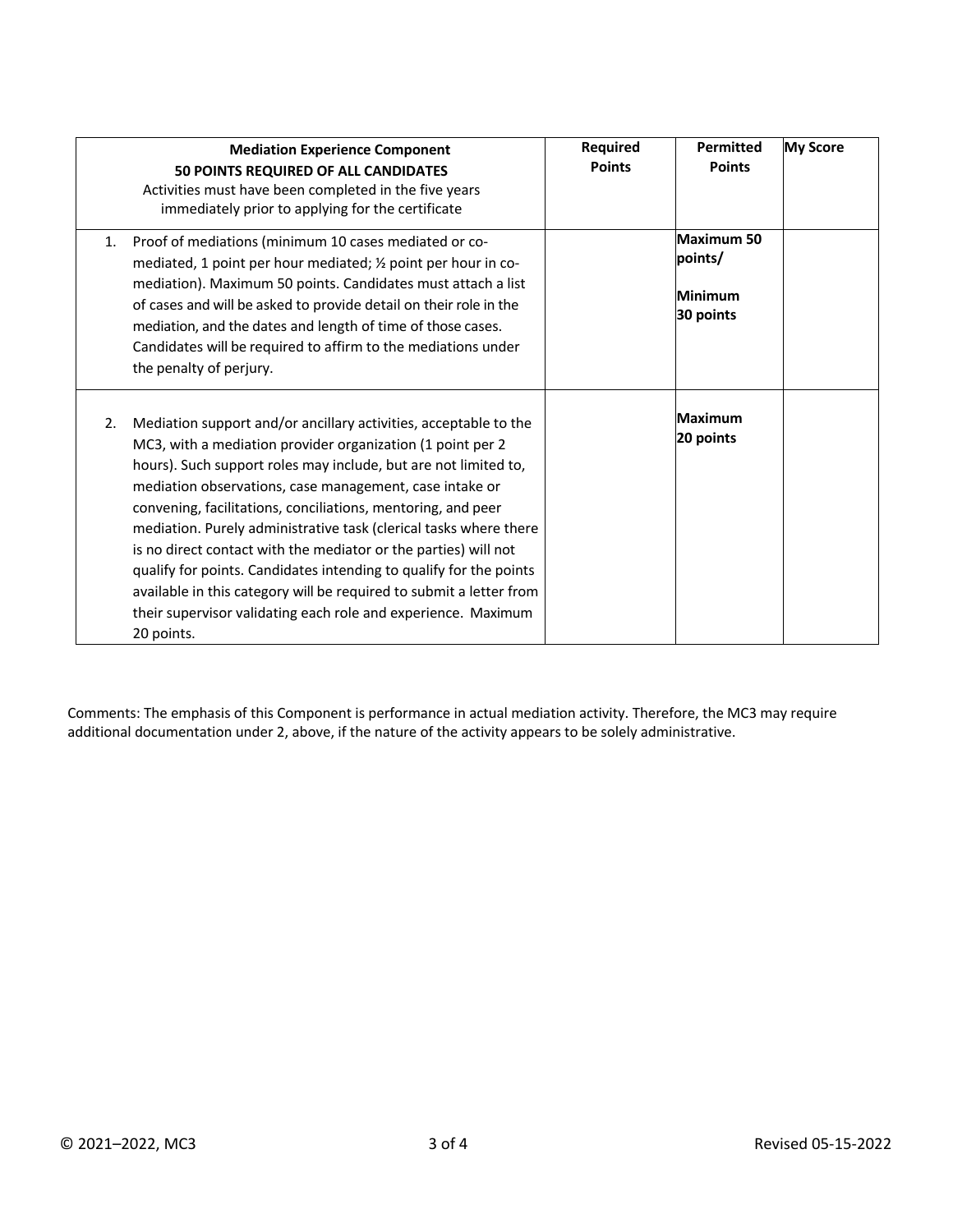|    | <b>Mediation Experience Component</b><br>50 POINTS REQUIRED OF ALL CANDIDATES<br>Activities must have been completed in the five years<br>immediately prior to applying for the certificate                                                                                                                                                                                                                                                                                                                                                                                                                                                                                                      | <b>Required</b><br><b>Points</b> | <b>Permitted</b><br><b>Points</b>             | <b>My Score</b> |
|----|--------------------------------------------------------------------------------------------------------------------------------------------------------------------------------------------------------------------------------------------------------------------------------------------------------------------------------------------------------------------------------------------------------------------------------------------------------------------------------------------------------------------------------------------------------------------------------------------------------------------------------------------------------------------------------------------------|----------------------------------|-----------------------------------------------|-----------------|
| 1. | Proof of mediations (minimum 10 cases mediated or co-<br>mediated, 1 point per hour mediated; 1/2 point per hour in co-<br>mediation). Maximum 50 points. Candidates must attach a list<br>of cases and will be asked to provide detail on their role in the<br>mediation, and the dates and length of time of those cases.<br>Candidates will be required to affirm to the mediations under<br>the penalty of perjury.                                                                                                                                                                                                                                                                          |                                  | Maximum 50<br>points/<br>Minimum<br>30 points |                 |
| 2. | Mediation support and/or ancillary activities, acceptable to the<br>MC3, with a mediation provider organization (1 point per 2<br>hours). Such support roles may include, but are not limited to,<br>mediation observations, case management, case intake or<br>convening, facilitations, conciliations, mentoring, and peer<br>mediation. Purely administrative task (clerical tasks where there<br>is no direct contact with the mediator or the parties) will not<br>qualify for points. Candidates intending to qualify for the points<br>available in this category will be required to submit a letter from<br>their supervisor validating each role and experience. Maximum<br>20 points. |                                  | <b>Maximum</b><br>20 points                   |                 |

Comments: The emphasis of this Component is performance in actual mediation activity. Therefore, the MC3 may require additional documentation under 2, above, if the nature of the activity appears to be solely administrative.